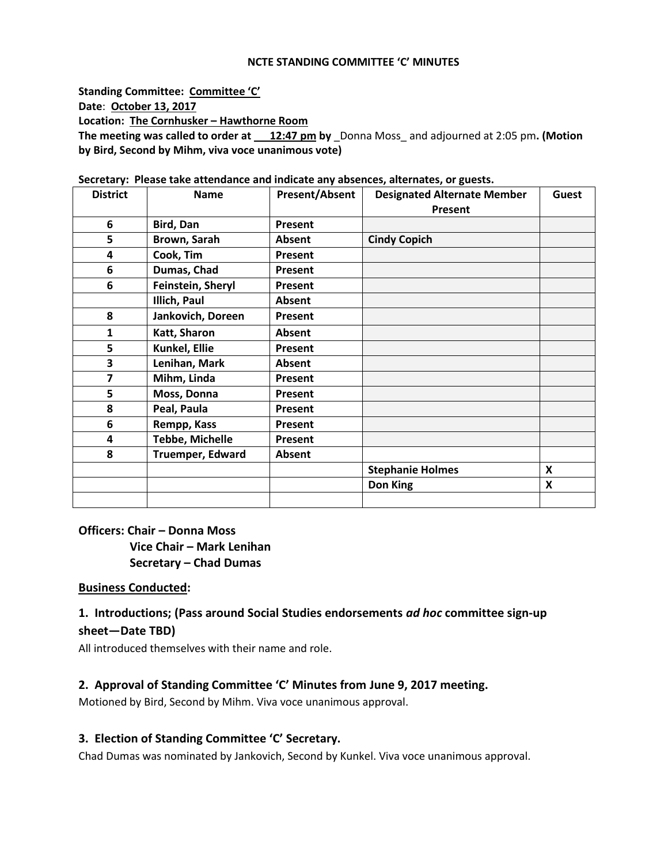#### **NCTE STANDING COMMITTEE 'C' MINUTES**

**Standing Committee: Committee 'C' Date**: **October 13, 2017 Location: The Cornhusker – Hawthorne Room The meeting was called to order at 12:47 pm by** \_Donna Moss\_ and adjourned at 2:05 pm**. (Motion by Bird, Second by Mihm, viva voce unanimous vote)**

| <b>District</b> | <b>Name</b>             | <b>Present/Absent</b> | <b>Designated Alternate Member</b> | Guest                     |
|-----------------|-------------------------|-----------------------|------------------------------------|---------------------------|
|                 |                         |                       | Present                            |                           |
| 6               | Bird, Dan               | <b>Present</b>        |                                    |                           |
| 5               | Brown, Sarah            | Absent                | <b>Cindy Copich</b>                |                           |
| 4               | Cook, Tim               | Present               |                                    |                           |
| 6               | Dumas, Chad             | <b>Present</b>        |                                    |                           |
| 6               | Feinstein, Sheryl       | Present               |                                    |                           |
|                 | Illich, Paul            | Absent                |                                    |                           |
| 8               | Jankovich, Doreen       | Present               |                                    |                           |
| $\mathbf{1}$    | Katt, Sharon            | Absent                |                                    |                           |
| 5               | Kunkel, Ellie           | Present               |                                    |                           |
| 3               | Lenihan, Mark           | Absent                |                                    |                           |
| 7               | Mihm, Linda             | <b>Present</b>        |                                    |                           |
| 5               | Moss, Donna             | Present               |                                    |                           |
| 8               | Peal, Paula             | Present               |                                    |                           |
| 6               | Rempp, Kass             | Present               |                                    |                           |
| 4               | <b>Tebbe, Michelle</b>  | Present               |                                    |                           |
| 8               | <b>Truemper, Edward</b> | Absent                |                                    |                           |
|                 |                         |                       | <b>Stephanie Holmes</b>            | $\boldsymbol{\mathsf{x}}$ |
|                 |                         |                       | Don King                           | X                         |
|                 |                         |                       |                                    |                           |

**Secretary: Please take attendance and indicate any absences, alternates, or guests.**

**Officers: Chair – Donna Moss Vice Chair – Mark Lenihan Secretary – Chad Dumas**

## **Business Conducted:**

# **1. Introductions; (Pass around Social Studies endorsements** *ad hoc* **committee sign-up sheet—Date TBD)**

All introduced themselves with their name and role.

### **2. Approval of Standing Committee 'C' Minutes from June 9, 2017 meeting.**

Motioned by Bird, Second by Mihm. Viva voce unanimous approval.

### **3. Election of Standing Committee 'C' Secretary.**

Chad Dumas was nominated by Jankovich, Second by Kunkel. Viva voce unanimous approval.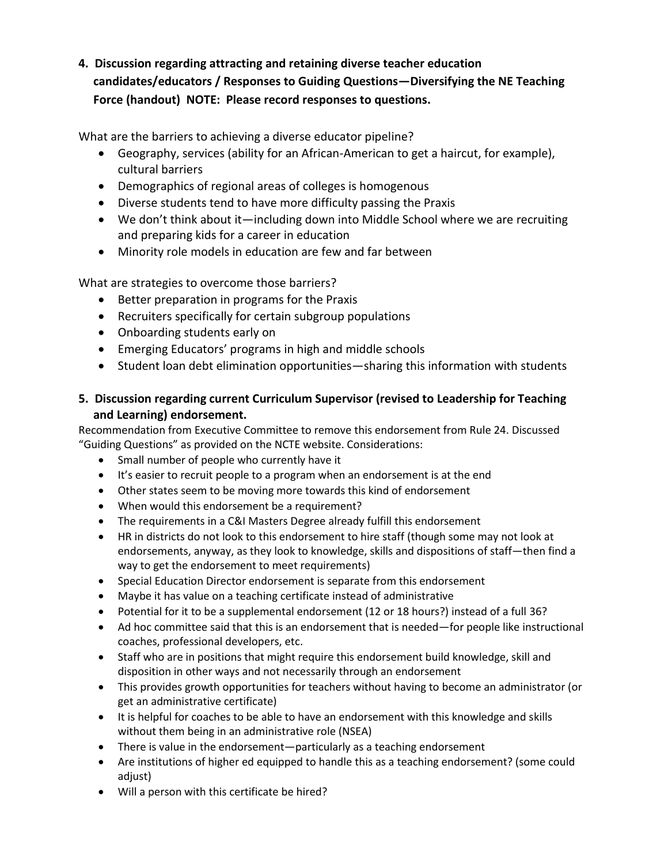# **4. Discussion regarding attracting and retaining diverse teacher education candidates/educators / Responses to Guiding Questions—Diversifying the NE Teaching Force (handout) NOTE: Please record responses to questions.**

What are the barriers to achieving a diverse educator pipeline?

- Geography, services (ability for an African-American to get a haircut, for example), cultural barriers
- Demographics of regional areas of colleges is homogenous
- Diverse students tend to have more difficulty passing the Praxis
- We don't think about it—including down into Middle School where we are recruiting and preparing kids for a career in education
- Minority role models in education are few and far between

What are strategies to overcome those barriers?

- Better preparation in programs for the Praxis
- Recruiters specifically for certain subgroup populations
- Onboarding students early on
- Emerging Educators' programs in high and middle schools
- Student loan debt elimination opportunities—sharing this information with students

## **5. Discussion regarding current Curriculum Supervisor (revised to Leadership for Teaching and Learning) endorsement.**

Recommendation from Executive Committee to remove this endorsement from Rule 24. Discussed "Guiding Questions" as provided on the NCTE website. Considerations:

- Small number of people who currently have it
- It's easier to recruit people to a program when an endorsement is at the end
- Other states seem to be moving more towards this kind of endorsement
- When would this endorsement be a requirement?
- The requirements in a C&I Masters Degree already fulfill this endorsement
- HR in districts do not look to this endorsement to hire staff (though some may not look at endorsements, anyway, as they look to knowledge, skills and dispositions of staff—then find a way to get the endorsement to meet requirements)
- Special Education Director endorsement is separate from this endorsement
- Maybe it has value on a teaching certificate instead of administrative
- Potential for it to be a supplemental endorsement (12 or 18 hours?) instead of a full 36?
- Ad hoc committee said that this is an endorsement that is needed—for people like instructional coaches, professional developers, etc.
- Staff who are in positions that might require this endorsement build knowledge, skill and disposition in other ways and not necessarily through an endorsement
- This provides growth opportunities for teachers without having to become an administrator (or get an administrative certificate)
- It is helpful for coaches to be able to have an endorsement with this knowledge and skills without them being in an administrative role (NSEA)
- There is value in the endorsement—particularly as a teaching endorsement
- Are institutions of higher ed equipped to handle this as a teaching endorsement? (some could adjust)
- Will a person with this certificate be hired?